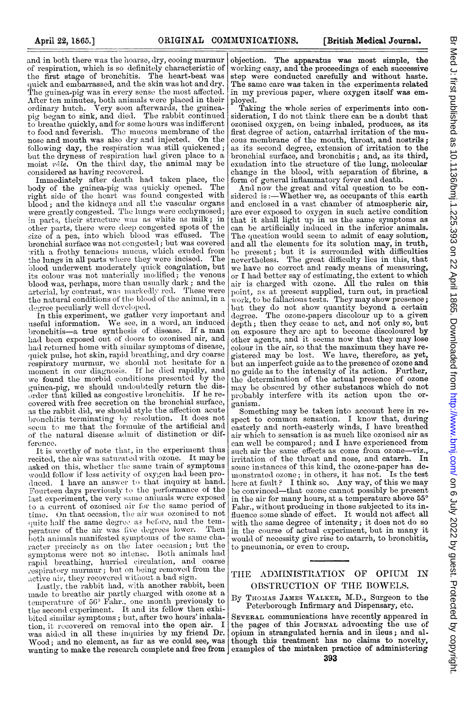and in both there was the hoarse, dry, cooing murmur of respiration, which is so definitely characteristic of the first stage of bronchitis. The heart-beat was quick and embarrassed, and the skin was hot and dry. The guinea-pig was in every sense the most affected. After ten minutes, both animals were placed in their ordinary hutch. Very soon afterwards, the guineapig began to sink, and died. The rabbit continued to breathe quickly, and for some hours was indifferent<br>to food and feverish. The mucous membrane of the nose and mouth was also dry and injected. On the following day, the respiration was still quickened; but the dryness of respiration had given place to a moist  $r\hat{a}$ le. On the third day, the animal may be considered as having recovered.

Immediately after death had taken place, the body of the guinea-pig was quickly opened. The right side of the heart was found congested with blood; and the kidneys and all the vascular organs were greatly congested. The lungs were ecchymosed; in parts, their structure was as white as milk; in other parts, there wvere deel) congested spots of the size of a pea, into which blood was effused. The bronchial surface was not congested; but was covered with a frothy tenacious mucus, which exuded from<br>the lungs in all parts where they were incised. The blood underwent moderately quick coagulation, but its colour was not materially modified; the venous blood was, perhaps, more than usually dark; and the arterial, by contrast, was markedly red. These were <sup>t</sup>he natural conditions of the blood of the animal, in a degree peculiarly well developed.

In this experiment, we gather very important and<br>useful information. We see, in a word, an induced<br>bronchitis—a true synthesis of disease. If a man had been exposed out of doors to ozonised air, and had returned home with similar symptoms of disease, quick pulse, hot skin, rapid breathing, and dry coarse respiratory murmur, we should not hesitate for a moment in our diagnosis. If he died rapidly, and we found the morbid conditions presented by the guinea-pig, we should undoubtedly return the disorder that killed as congestive bronchitis. If he recovered with free secretion on the bronchial surface, as the rabbit did, we should style the affection acute bronchitis terminating by resolution. It does not seem to me that the formule of the artificial and of the natural disease admit of distinction or difference.

It is worthy of note that, in the experiment thus recited, the air was saturated with ozone. It may be asked on this, whether the same train of symptoms would follow if less activity of oxygen had been pro-<br>duced, I have an answer to that inquiry at hand. Fourteen days previously to the performance of the last experiment, the very same animals were exposed to a current of ozonised air for the same period of time. On that occasion, the air was ozonised to not quite half the same degree as before, and the tem-<br>persture of the air was five degrees lower. Then perature of the air was five degrees lower. Then<br>both animals manifested symptoms of the same character precisely as on the later occasion; but the<br>symptoms were not so intense. Both animals had rapid breathing, hurried circulation, and coarse respiratory murmur; but on being removed from the active air, they recovered without a bad sign.

Lastly, the rabbit had, with another rabbit, been made to breathe air partly charged with ozone at a temperature of 56° Fahr., one month previously to<br>the second experiment. It and its fellow then exhibited similar symptoms; but, after two hours' inhalation, it recovered on removal into the open air. I<br>was aided in all these inquiries by my friend Dr. Wood; and no element, as far as we could see, was wanting to make the research complete and fiee from

objection. The apparatus was most simple, the working easy, and the proceedings of each successive step were conducted carefully and without haste. The same care was taken in the experiments related in my previous paper, where oxygen itself was em-

ployed.<br>Taking the whole series of experiments into consideration, I do not think there can be a doubt that ozonised oxygen, on being inhaled, produces, as its first degree of action, catarrhal irritation of the mucous membrane of the mouth, throat, and nostrils; as its second degrree, extension of irritation to the bronchial surface, and bronchitis; and, as its third, exudation into the structure of the lung, molecular change in the blood, with separation of fibrine, a form of general inflammatory fever and death.

And now the great and vital question to be considered is:-Whether we, as occupants of this earth and enclosed in a vast chamber of atmospheric air, are ever exposed to oxygen in such active condition that it shall light up in us the same symptoms as can be artificially induced in the inferior animals. The question would seem to admit of easy solution, and all the elements for its solution may, in truth, be presenlt; but it is surrounded with difficulties nevertheless. The great difficulty lies in this, that we have no correct and ready means of measuring, or I had better say of estimating, the extent to which<br>air is charged with ozone. All the rules on this<br>point, as at present supplied, turn out, in practical<br>work, to be fallacious tests. They may show presence; but they do not show quantity beyond a certain<br>degree. The ozone-papers discolour up to a given depth; then they cease to act, and not only so, but on exposure they are apt to become discoloured by other agents, and it seems now that they may lose colour in the air, so that the maximum they have re-gistered may be lost. We have, therefore, as yet, but an imperfect guide as to the presence of ozone and no guide as to the intensity of its action. Further the determination of the actual presence of ozone may be obscutred by other substances which do not probably interfere with its action upon the organism.

Something may be taken into account here in respect to common sensation. I know that, during easterly and north-easterly winds, I have breathed<br>air which to sensation is as much like ozonised air as can well be compared; and I have experienced from such air the same effects as come from ozone-viz., irritation of the throat and nose, and catarrh. In some instances of this kind, the ozone-paper has deumonstrated ozone; in others, it has not. Is the test here at fault? I think so. Any way, of this we may be convinced-that ozone cannot possibly be present in the air for many hours, at a temperature above 55° Fahr., without producing in those subjected to its in-fluence some shade of effect. It would not affect all with the same degree of intensity; it does not do so in the course of actual experiment, but in many it would of necessity give rise to catarrh, to bronchitis, to pneumonia, or even to croup.

## THE ADMINISTRATION OF OPIUM IN OBSTRUCTION OF THE BOWELS.

By THOMAS JAMES WALKER, M.D., Surgeon to the Peterborough Infirmary and Dispensary, etc.

SEVERAL communications have recently appeared in the pages of this JOURNAL advocating the use of opium in strangulated hernia and in ileus; and al. though this treatment has no claims to novelty, examples of the mistaken practice of administering